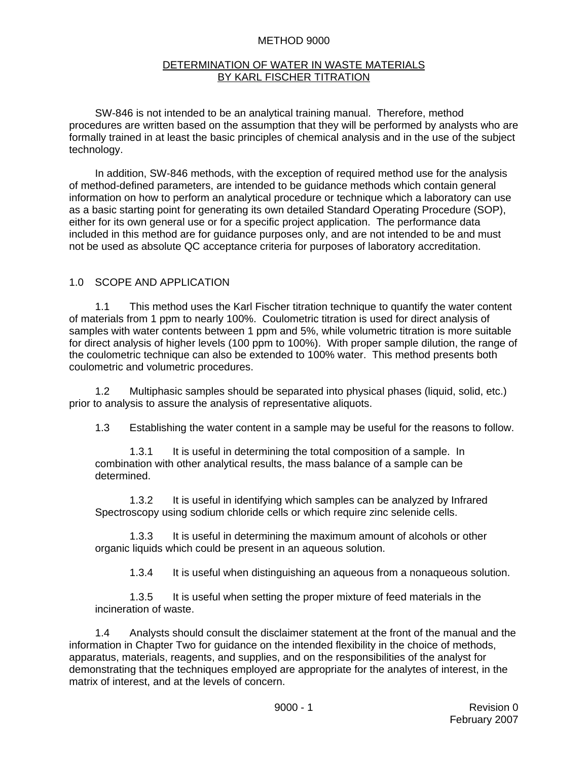#### METHOD 9000

#### DETERMINATION OF WATER IN WASTE MATERIALS BY KARL FISCHER TITRATION

SW-846 is not intended to be an analytical training manual. Therefore, method procedures are written based on the assumption that they will be performed by analysts who are formally trained in at least the basic principles of chemical analysis and in the use of the subject technology.

In addition, SW-846 methods, with the exception of required method use for the analysis of method-defined parameters, are intended to be guidance methods which contain general information on how to perform an analytical procedure or technique which a laboratory can use as a basic starting point for generating its own detailed Standard Operating Procedure (SOP), either for its own general use or for a specific project application. The performance data included in this method are for guidance purposes only, and are not intended to be and must not be used as absolute QC acceptance criteria for purposes of laboratory accreditation.

#### 1.0 SCOPE AND APPLICATION

1.1 This method uses the Karl Fischer titration technique to quantify the water content of materials from 1 ppm to nearly 100%. Coulometric titration is used for direct analysis of samples with water contents between 1 ppm and 5%, while volumetric titration is more suitable for direct analysis of higher levels (100 ppm to 100%). With proper sample dilution, the range of the coulometric technique can also be extended to 100% water. This method presents both coulometric and volumetric procedures.

1.2 Multiphasic samples should be separated into physical phases (liquid, solid, etc.) prior to analysis to assure the analysis of representative aliquots.

1.3 Establishing the water content in a sample may be useful for the reasons to follow.

1.3.1 It is useful in determining the total composition of a sample. In combination with other analytical results, the mass balance of a sample can be determined.

1.3.2 It is useful in identifying which samples can be analyzed by Infrared Spectroscopy using sodium chloride cells or which require zinc selenide cells.

1.3.3 It is useful in determining the maximum amount of alcohols or other organic liquids which could be present in an aqueous solution.

1.3.4 It is useful when distinguishing an aqueous from a nonaqueous solution.

1.3.5 It is useful when setting the proper mixture of feed materials in the incineration of waste.

1.4 Analysts should consult the disclaimer statement at the front of the manual and the information in Chapter Two for guidance on the intended flexibility in the choice of methods, apparatus, materials, reagents, and supplies, and on the responsibilities of the analyst for demonstrating that the techniques employed are appropriate for the analytes of interest, in the matrix of interest, and at the levels of concern.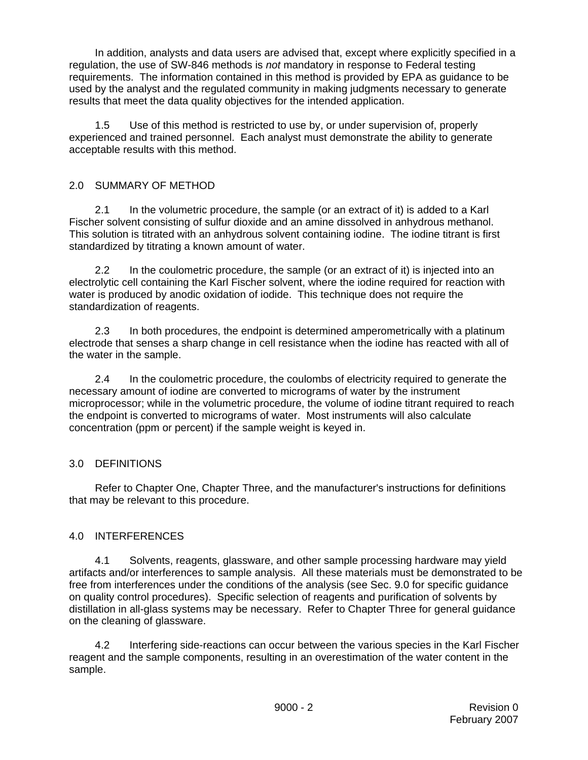In addition, analysts and data users are advised that, except where explicitly specified in a regulation, the use of SW-846 methods is *not* mandatory in response to Federal testing requirements. The information contained in this method is provided by EPA as guidance to be used by the analyst and the regulated community in making judgments necessary to generate results that meet the data quality objectives for the intended application.

1.5 Use of this method is restricted to use by, or under supervision of, properly experienced and trained personnel. Each analyst must demonstrate the ability to generate acceptable results with this method.

## 2.0 SUMMARY OF METHOD

2.1 In the volumetric procedure, the sample (or an extract of it) is added to a Karl Fischer solvent consisting of sulfur dioxide and an amine dissolved in anhydrous methanol. This solution is titrated with an anhydrous solvent containing iodine. The iodine titrant is first standardized by titrating a known amount of water.

2.2 In the coulometric procedure, the sample (or an extract of it) is injected into an electrolytic cell containing the Karl Fischer solvent, where the iodine required for reaction with water is produced by anodic oxidation of iodide. This technique does not require the standardization of reagents.

2.3 In both procedures, the endpoint is determined amperometrically with a platinum electrode that senses a sharp change in cell resistance when the iodine has reacted with all of the water in the sample.

2.4 In the coulometric procedure, the coulombs of electricity required to generate the necessary amount of iodine are converted to micrograms of water by the instrument microprocessor; while in the volumetric procedure, the volume of iodine titrant required to reach the endpoint is converted to micrograms of water. Most instruments will also calculate concentration (ppm or percent) if the sample weight is keyed in.

### 3.0 DEFINITIONS

Refer to Chapter One, Chapter Three, and the manufacturer's instructions for definitions that may be relevant to this procedure.

### 4.0 INTERFERENCES

4.1 Solvents, reagents, glassware, and other sample processing hardware may yield artifacts and/or interferences to sample analysis. All these materials must be demonstrated to be free from interferences under the conditions of the analysis (see Sec. 9.0 for specific guidance on quality control procedures). Specific selection of reagents and purification of solvents by distillation in all-glass systems may be necessary. Refer to Chapter Three for general guidance on the cleaning of glassware.

4.2 Interfering side-reactions can occur between the various species in the Karl Fischer reagent and the sample components, resulting in an overestimation of the water content in the sample.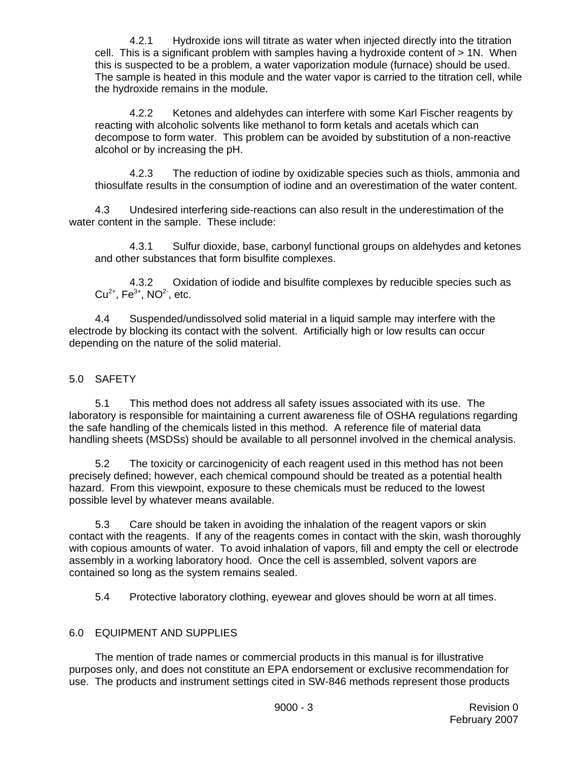4.2.1 Hydroxide ions will titrate as water when injected directly into the titration cell. This is a significant problem with samples having a hydroxide content of > 1N. When this is suspected to be a problem, a water vaporization module (furnace) should be used. The sample is heated in this module and the water vapor is carried to the titration cell, while the hydroxide remains in the module.

4.2.2 Ketones and aldehydes can interfere with some Karl Fischer reagents by reacting with alcoholic solvents like methanol to form ketals and acetals which can decompose to form water. This problem can be avoided by substitution of a non-reactive alcohol or by increasing the pH.

4.2.3 The reduction of iodine by oxidizable species such as thiols, ammonia and thiosulfate results in the consumption of iodine and an overestimation of the water content.

4.3 Undesired interfering side-reactions can also result in the underestimation of the water content in the sample. These include:

4.3.1 Sulfur dioxide, base, carbonyl functional groups on aldehydes and ketones and other substances that form bisulfite complexes.

4.3.2 Oxidation of iodide and bisulfite complexes by reducible species such as  $Cu^{2+}$ , Fe<sup>3+</sup>, NO<sup>2</sup>, etc.

4.4 Suspended/undissolved solid material in a liquid sample may interfere with the electrode by blocking its contact with the solvent. Artificially high or low results can occur depending on the nature of the solid material.

## 5.0 SAFETY

5.1 This method does not address all safety issues associated with its use. The laboratory is responsible for maintaining a current awareness file of OSHA regulations regarding the safe handling of the chemicals listed in this method. A reference file of material data handling sheets (MSDSs) should be available to all personnel involved in the chemical analysis.

5.2 The toxicity or carcinogenicity of each reagent used in this method has not been precisely defined; however, each chemical compound should be treated as a potential health hazard. From this viewpoint, exposure to these chemicals must be reduced to the lowest possible level by whatever means available.

5.3 Care should be taken in avoiding the inhalation of the reagent vapors or skin contact with the reagents. If any of the reagents comes in contact with the skin, wash thoroughly with copious amounts of water. To avoid inhalation of vapors, fill and empty the cell or electrode assembly in a working laboratory hood. Once the cell is assembled, solvent vapors are contained so long as the system remains sealed.

5.4 Protective laboratory clothing, eyewear and gloves should be worn at all times.

### 6.0 EQUIPMENT AND SUPPLIES

The mention of trade names or commercial products in this manual is for illustrative purposes only, and does not constitute an EPA endorsement or exclusive recommendation for use. The products and instrument settings cited in SW-846 methods represent those products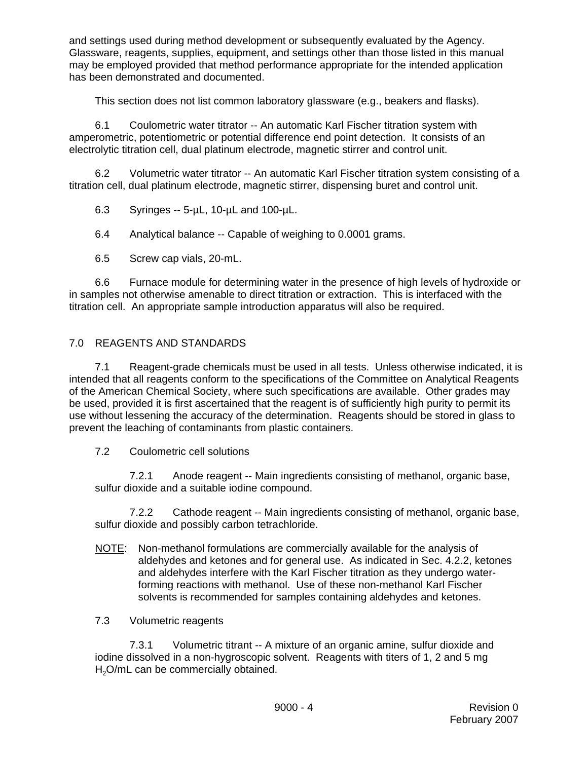and settings used during method development or subsequently evaluated by the Agency. Glassware, reagents, supplies, equipment, and settings other than those listed in this manual may be employed provided that method performance appropriate for the intended application has been demonstrated and documented.

This section does not list common laboratory glassware (e.g., beakers and flasks).

6.1 Coulometric water titrator -- An automatic Karl Fischer titration system with amperometric, potentiometric or potential difference end point detection. It consists of an electrolytic titration cell, dual platinum electrode, magnetic stirrer and control unit.

6.2 Volumetric water titrator -- An automatic Karl Fischer titration system consisting of a titration cell, dual platinum electrode, magnetic stirrer, dispensing buret and control unit.

6.3 Syringes -- 5-µL, 10-µL and 100-µL.

6.4 Analytical balance -- Capable of weighing to 0.0001 grams.

6.5 Screw cap vials, 20-mL.

6.6 Furnace module for determining water in the presence of high levels of hydroxide or in samples not otherwise amenable to direct titration or extraction. This is interfaced with the titration cell. An appropriate sample introduction apparatus will also be required.

# 7.0 REAGENTS AND STANDARDS

7.1 Reagent-grade chemicals must be used in all tests. Unless otherwise indicated, it is intended that all reagents conform to the specifications of the Committee on Analytical Reagents of the American Chemical Society, where such specifications are available. Other grades may be used, provided it is first ascertained that the reagent is of sufficiently high purity to permit its use without lessening the accuracy of the determination. Reagents should be stored in glass to prevent the leaching of contaminants from plastic containers.

### 7.2 Coulometric cell solutions

7.2.1 Anode reagent -- Main ingredients consisting of methanol, organic base, sulfur dioxide and a suitable iodine compound.

7.2.2 Cathode reagent -- Main ingredients consisting of methanol, organic base, sulfur dioxide and possibly carbon tetrachloride.

NOTE: Non-methanol formulations are commercially available for the analysis of aldehydes and ketones and for general use. As indicated in Sec. 4.2.2, ketones and aldehydes interfere with the Karl Fischer titration as they undergo waterforming reactions with methanol. Use of these non-methanol Karl Fischer solvents is recommended for samples containing aldehydes and ketones.

### 7.3 Volumetric reagents

7.3.1 Volumetric titrant -- A mixture of an organic amine, sulfur dioxide and iodine dissolved in a non-hygroscopic solvent. Reagents with titers of 1, 2 and 5 mg  $H<sub>2</sub>O/mL$  can be commercially obtained.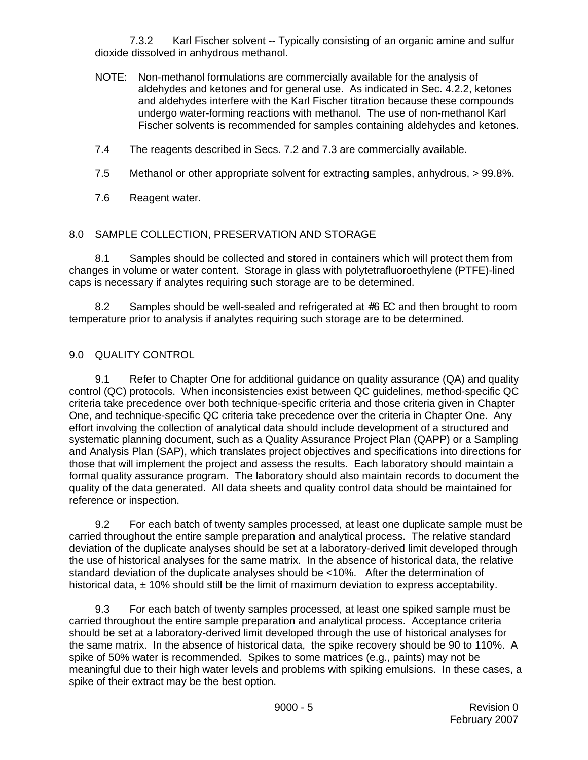7.3.2 Karl Fischer solvent -- Typically consisting of an organic amine and sulfur dioxide dissolved in anhydrous methanol.

- NOTE: Non-methanol formulations are commercially available for the analysis of aldehydes and ketones and for general use. As indicated in Sec. 4.2.2, ketones and aldehydes interfere with the Karl Fischer titration because these compounds undergo water-forming reactions with methanol. The use of non-methanol Karl Fischer solvents is recommended for samples containing aldehydes and ketones.
- 7.4 The reagents described in Secs. 7.2 and 7.3 are commercially available.
- 7.5 Methanol or other appropriate solvent for extracting samples, anhydrous, > 99.8%.
- 7.6 Reagent water.

## 8.0 SAMPLE COLLECTION, PRESERVATION AND STORAGE

8.1 Samples should be collected and stored in containers which will protect them from changes in volume or water content. Storage in glass with polytetrafluoroethylene (PTFE)-lined caps is necessary if analytes requiring such storage are to be determined.

8.2 Samples should be well-sealed and refrigerated at  $#6$  EC and then brought to room temperature prior to analysis if analytes requiring such storage are to be determined.

## 9.0 QUALITY CONTROL

9.1 Refer to Chapter One for additional guidance on quality assurance (QA) and quality control (QC) protocols. When inconsistencies exist between QC guidelines, method-specific QC criteria take precedence over both technique-specific criteria and those criteria given in Chapter One, and technique-specific QC criteria take precedence over the criteria in Chapter One. Any effort involving the collection of analytical data should include development of a structured and systematic planning document, such as a Quality Assurance Project Plan (QAPP) or a Sampling and Analysis Plan (SAP), which translates project objectives and specifications into directions for those that will implement the project and assess the results. Each laboratory should maintain a formal quality assurance program. The laboratory should also maintain records to document the quality of the data generated. All data sheets and quality control data should be maintained for reference or inspection.

9.2 For each batch of twenty samples processed, at least one duplicate sample must be carried throughout the entire sample preparation and analytical process. The relative standard deviation of the duplicate analyses should be set at a laboratory-derived limit developed through the use of historical analyses for the same matrix. In the absence of historical data, the relative standard deviation of the duplicate analyses should be <10%. After the determination of historical data,  $\pm$  10% should still be the limit of maximum deviation to express acceptability.

9.3 For each batch of twenty samples processed, at least one spiked sample must be carried throughout the entire sample preparation and analytical process. Acceptance criteria should be set at a laboratory-derived limit developed through the use of historical analyses for the same matrix. In the absence of historical data, the spike recovery should be 90 to 110%. A spike of 50% water is recommended. Spikes to some matrices (e.g., paints) may not be meaningful due to their high water levels and problems with spiking emulsions. In these cases, a spike of their extract may be the best option.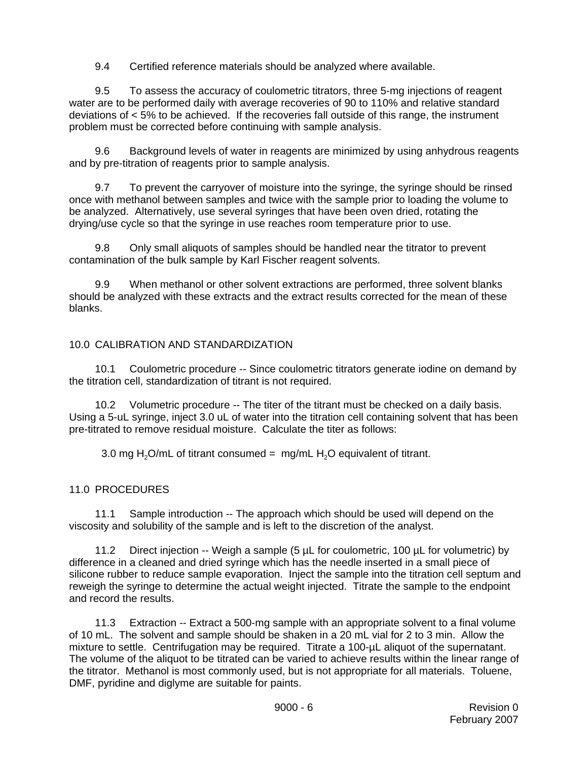9.4 Certified reference materials should be analyzed where available.

9.5 To assess the accuracy of coulometric titrators, three 5-mg injections of reagent water are to be performed daily with average recoveries of 90 to 110% and relative standard deviations of < 5% to be achieved. If the recoveries fall outside of this range, the instrument problem must be corrected before continuing with sample analysis.

9.6 Background levels of water in reagents are minimized by using anhydrous reagents and by pre-titration of reagents prior to sample analysis.

9.7 To prevent the carryover of moisture into the syringe, the syringe should be rinsed once with methanol between samples and twice with the sample prior to loading the volume to be analyzed. Alternatively, use several syringes that have been oven dried, rotating the drying/use cycle so that the syringe in use reaches room temperature prior to use.

9.8 Only small aliquots of samples should be handled near the titrator to prevent contamination of the bulk sample by Karl Fischer reagent solvents.

9.9 When methanol or other solvent extractions are performed, three solvent blanks should be analyzed with these extracts and the extract results corrected for the mean of these blanks.

## 10.0 CALIBRATION AND STANDARDIZATION

10.1 Coulometric procedure -- Since coulometric titrators generate iodine on demand by the titration cell, standardization of titrant is not required.

10.2 Volumetric procedure -- The titer of the titrant must be checked on a daily basis. Using a 5-uL syringe, inject 3.0 uL of water into the titration cell containing solvent that has been pre-titrated to remove residual moisture. Calculate the titer as follows:

3.0 mg  $H_2O/mL$  of titrant consumed = mg/mL  $H_2O$  equivalent of titrant.

### 11.0 PROCEDURES

11.1 Sample introduction -- The approach which should be used will depend on the viscosity and solubility of the sample and is left to the discretion of the analyst.

11.2 Direct injection -- Weigh a sample (5 µL for coulometric, 100 µL for volumetric) by difference in a cleaned and dried syringe which has the needle inserted in a small piece of silicone rubber to reduce sample evaporation. Inject the sample into the titration cell septum and reweigh the syringe to determine the actual weight injected. Titrate the sample to the endpoint and record the results.

11.3 Extraction -- Extract a 500-mg sample with an appropriate solvent to a final volume of 10 mL. The solvent and sample should be shaken in a 20 mL vial for 2 to 3 min. Allow the mixture to settle. Centrifugation may be required. Titrate a 100-µL aliquot of the supernatant. The volume of the aliquot to be titrated can be varied to achieve results within the linear range of the titrator. Methanol is most commonly used, but is not appropriate for all materials. Toluene, DMF, pyridine and diglyme are suitable for paints.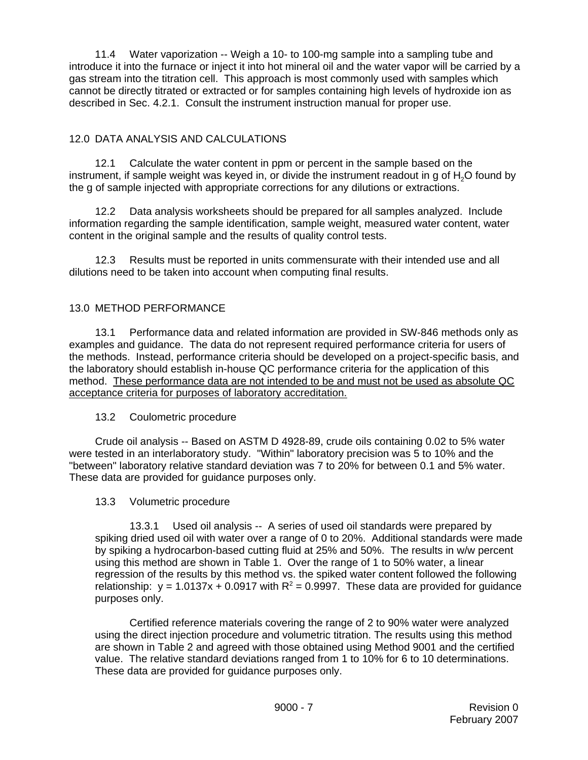11.4 Water vaporization -- Weigh a 10- to 100-mg sample into a sampling tube and introduce it into the furnace or inject it into hot mineral oil and the water vapor will be carried by a gas stream into the titration cell. This approach is most commonly used with samples which cannot be directly titrated or extracted or for samples containing high levels of hydroxide ion as described in Sec. 4.2.1. Consult the instrument instruction manual for proper use.

# 12.0 DATA ANALYSIS AND CALCULATIONS

12.1 Calculate the water content in ppm or percent in the sample based on the instrument, if sample weight was keyed in, or divide the instrument readout in g of  $H<sub>2</sub>O$  found by the g of sample injected with appropriate corrections for any dilutions or extractions.

12.2 Data analysis worksheets should be prepared for all samples analyzed. Include information regarding the sample identification, sample weight, measured water content, water content in the original sample and the results of quality control tests.

12.3 Results must be reported in units commensurate with their intended use and all dilutions need to be taken into account when computing final results.

## 13.0 METHOD PERFORMANCE

13.1 Performance data and related information are provided in SW-846 methods only as examples and guidance. The data do not represent required performance criteria for users of the methods. Instead, performance criteria should be developed on a project-specific basis, and the laboratory should establish in-house QC performance criteria for the application of this method. These performance data are not intended to be and must not be used as absolute QC acceptance criteria for purposes of laboratory accreditation.

### 13.2 Coulometric procedure

Crude oil analysis -- Based on ASTM D 4928-89, crude oils containing 0.02 to 5% water were tested in an interlaboratory study. "Within" laboratory precision was 5 to 10% and the "between" laboratory relative standard deviation was 7 to 20% for between 0.1 and 5% water. These data are provided for guidance purposes only.

### 13.3 Volumetric procedure

13.3.1 Used oil analysis -- A series of used oil standards were prepared by spiking dried used oil with water over a range of 0 to 20%. Additional standards were made by spiking a hydrocarbon-based cutting fluid at 25% and 50%. The results in w/w percent using this method are shown in Table 1. Over the range of 1 to 50% water, a linear regression of the results by this method vs. the spiked water content followed the following relationship:  $y = 1.0137x + 0.0917$  with  $R^2 = 0.9997$ . These data are provided for guidance purposes only.

Certified reference materials covering the range of 2 to 90% water were analyzed using the direct injection procedure and volumetric titration. The results using this method are shown in Table 2 and agreed with those obtained using Method 9001 and the certified value. The relative standard deviations ranged from 1 to 10% for 6 to 10 determinations. These data are provided for guidance purposes only.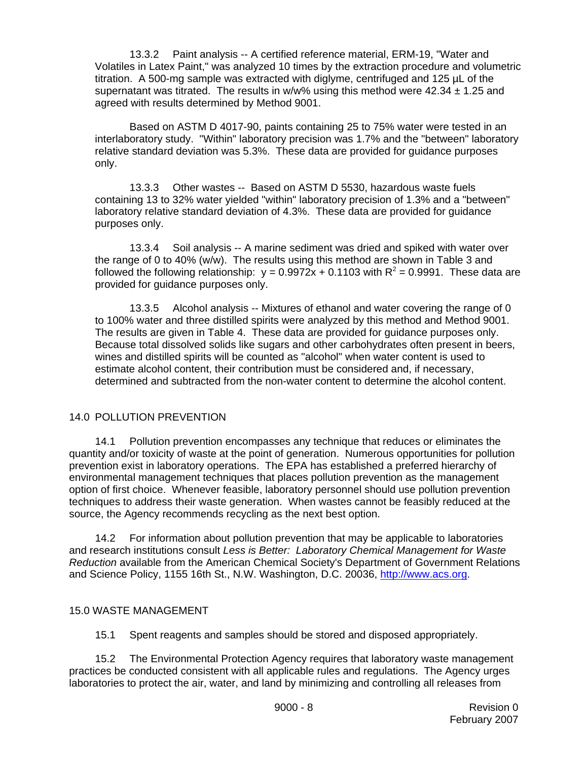13.3.2 Paint analysis -- A certified reference material, ERM-19, "Water and Volatiles in Latex Paint," was analyzed 10 times by the extraction procedure and volumetric titration. A 500-mg sample was extracted with diglyme, centrifuged and 125 µL of the supernatant was titrated. The results in  $w/w$ % using this method were 42.34  $\pm$  1.25 and agreed with results determined by Method 9001.

Based on ASTM D 4017-90, paints containing 25 to 75% water were tested in an interlaboratory study. "Within" laboratory precision was 1.7% and the "between" laboratory relative standard deviation was 5.3%. These data are provided for guidance purposes only.

13.3.3 Other wastes -- Based on ASTM D 5530, hazardous waste fuels containing 13 to 32% water yielded "within" laboratory precision of 1.3% and a "between" laboratory relative standard deviation of 4.3%. These data are provided for guidance purposes only.

13.3.4 Soil analysis -- A marine sediment was dried and spiked with water over the range of 0 to 40% (w/w). The results using this method are shown in Table 3 and followed the following relationship:  $y = 0.9972x + 0.1103$  with  $R^2 = 0.9991$ . These data are provided for guidance purposes only.

13.3.5 Alcohol analysis -- Mixtures of ethanol and water covering the range of 0 to 100% water and three distilled spirits were analyzed by this method and Method 9001. The results are given in Table 4. These data are provided for guidance purposes only. Because total dissolved solids like sugars and other carbohydrates often present in beers, wines and distilled spirits will be counted as "alcohol" when water content is used to estimate alcohol content, their contribution must be considered and, if necessary, determined and subtracted from the non-water content to determine the alcohol content.

# 14.0 POLLUTION PREVENTION

14.1 Pollution prevention encompasses any technique that reduces or eliminates the quantity and/or toxicity of waste at the point of generation. Numerous opportunities for pollution prevention exist in laboratory operations. The EPA has established a preferred hierarchy of environmental management techniques that places pollution prevention as the management option of first choice. Whenever feasible, laboratory personnel should use pollution prevention techniques to address their waste generation. When wastes cannot be feasibly reduced at the source, the Agency recommends recycling as the next best option.

14.2 For information about pollution prevention that may be applicable to laboratories and research institutions consult *Less is Better: Laboratory Chemical Management for Waste Reduction* available from the American Chemical Society's Department of Government Relations and Science Policy, 1155 16th St., N.W. Washington, D.C. 20036, http://www.acs.org.

### 15.0 WASTE MANAGEMENT

15.1 Spent reagents and samples should be stored and disposed appropriately.

15.2 The Environmental Protection Agency requires that laboratory waste management practices be conducted consistent with all applicable rules and regulations. The Agency urges laboratories to protect the air, water, and land by minimizing and controlling all releases from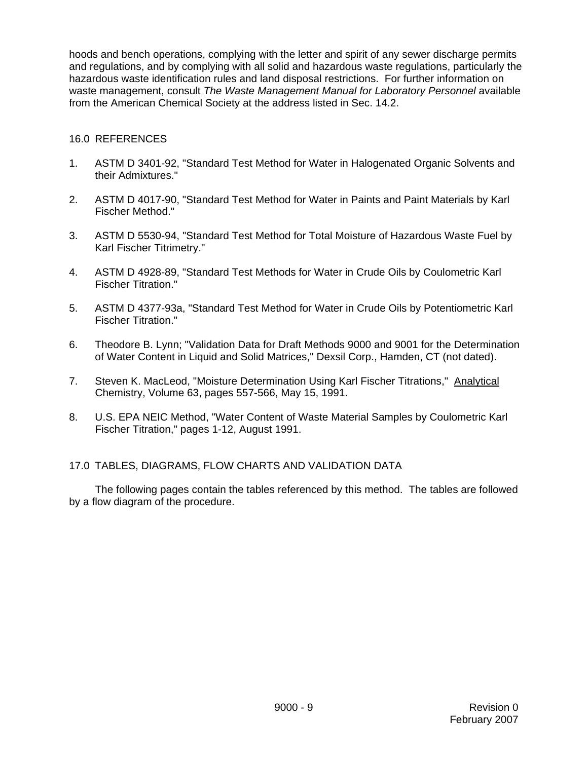hoods and bench operations, complying with the letter and spirit of any sewer discharge permits and regulations, and by complying with all solid and hazardous waste regulations, particularly the hazardous waste identification rules and land disposal restrictions. For further information on waste management, consult *The Waste Management Manual for Laboratory Personnel* available from the American Chemical Society at the address listed in Sec. 14.2.

### 16.0 REFERENCES

- 1. ASTM D 3401-92, "Standard Test Method for Water in Halogenated Organic Solvents and their Admixtures."
- 2. ASTM D 4017-90, "Standard Test Method for Water in Paints and Paint Materials by Karl Fischer Method."
- 3. ASTM D 5530-94, "Standard Test Method for Total Moisture of Hazardous Waste Fuel by Karl Fischer Titrimetry."
- 4. ASTM D 4928-89, "Standard Test Methods for Water in Crude Oils by Coulometric Karl Fischer Titration."
- 5. ASTM D 4377-93a, "Standard Test Method for Water in Crude Oils by Potentiometric Karl Fischer Titration."
- 6. Theodore B. Lynn; "Validation Data for Draft Methods 9000 and 9001 for the Determination of Water Content in Liquid and Solid Matrices," Dexsil Corp., Hamden, CT (not dated).
- 7. Steven K. MacLeod, "Moisture Determination Using Karl Fischer Titrations," Analytical Chemistry, Volume 63, pages 557-566, May 15, 1991.
- 8. U.S. EPA NEIC Method, "Water Content of Waste Material Samples by Coulometric Karl Fischer Titration," pages 1-12, August 1991.

### 17.0 TABLES, DIAGRAMS, FLOW CHARTS AND VALIDATION DATA

The following pages contain the tables referenced by this method. The tables are followed by a flow diagram of the procedure.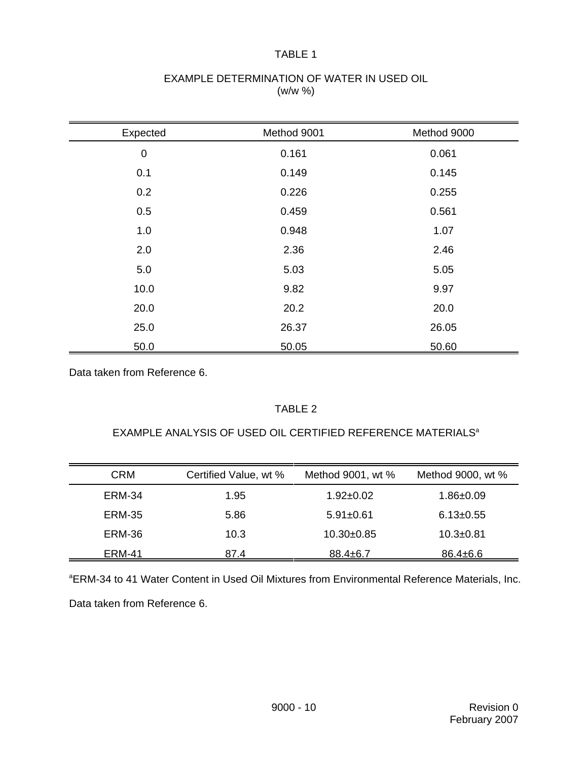### TABLE 1

## EXAMPLE DETERMINATION OF WATER IN USED OIL (w/w %)

| Expected         | Method 9001 | Method 9000 |
|------------------|-------------|-------------|
| $\boldsymbol{0}$ | 0.161       | 0.061       |
| 0.1              | 0.149       | 0.145       |
| 0.2              | 0.226       | 0.255       |
| 0.5              | 0.459       | 0.561       |
| 1.0              | 0.948       | 1.07        |
| 2.0              | 2.36        | 2.46        |
| 5.0              | 5.03        | 5.05        |
| 10.0             | 9.82        | 9.97        |
| 20.0             | 20.2        | 20.0        |
| 25.0             | 26.37       | 26.05       |
| 50.0             | 50.05       | 50.60       |

Data taken from Reference 6.

## TABLE 2

## EXAMPLE ANALYSIS OF USED OIL CERTIFIED REFERENCE MATERIALS<sup>a</sup>

| <b>CRM</b>    | Certified Value, wt % | Method 9001, wt % | Method 9000, wt % |
|---------------|-----------------------|-------------------|-------------------|
| <b>ERM-34</b> | 1.95                  | $1.92 \pm 0.02$   | $1.86 \pm 0.09$   |
| <b>ERM-35</b> | 5.86                  | $5.91 \pm 0.61$   | $6.13 \pm 0.55$   |
| ERM-36        | 10.3                  | $10.30+0.85$      | $10.3 + 0.81$     |
| ERM-41        | 87.4                  | $88.4 \pm 6.7$    | $86.4 \pm 6.6$    |

<sup>a</sup>ERM-34 to 41 Water Content in Used Oil Mixtures from Environmental Reference Materials, Inc.

Data taken from Reference 6.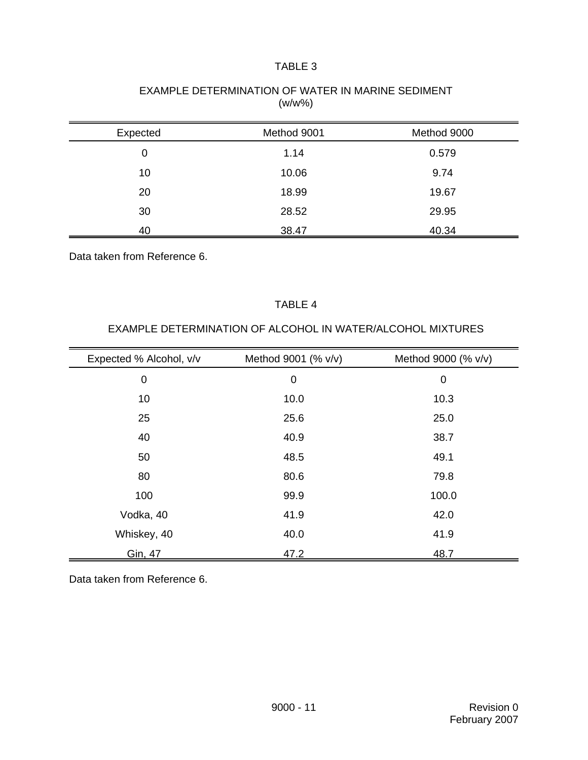## TABLE 3

|          | ,           |             |
|----------|-------------|-------------|
| Expected | Method 9001 | Method 9000 |
| 0        | 1.14        | 0.579       |
| 10       | 10.06       | 9.74        |
| 20       | 18.99       | 19.67       |
| 30       | 28.52       | 29.95       |
| 40       | 38.47       | 40.34       |

## EXAMPLE DETERMINATION OF WATER IN MARINE SEDIMENT  $(w/w\% )$

Data taken from Reference 6.

### TABLE 4

| Expected % Alcohol, v/v | Method 9001 (% v/v) | Method 9000 (% v/v) |
|-------------------------|---------------------|---------------------|
| $\mathbf 0$             | $\mathbf 0$         | $\mathbf 0$         |
| 10                      | 10.0                | 10.3                |
| 25                      | 25.6                | 25.0                |
| 40                      | 40.9                | 38.7                |
| 50                      | 48.5                | 49.1                |
| 80                      | 80.6                | 79.8                |
| 100                     | 99.9                | 100.0               |
| Vodka, 40               | 41.9                | 42.0                |
| Whiskey, 40             | 40.0                | 41.9                |
| Gin, 47                 | 47.2                | 48.7                |

## EXAMPLE DETERMINATION OF ALCOHOL IN WATER/ALCOHOL MIXTURES

Data taken from Reference 6.